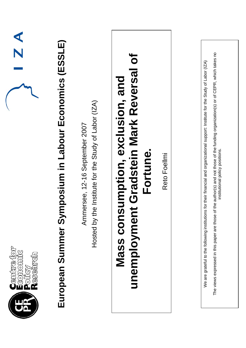| $\frac{1}{2}$                                | European Summer Symposium in Labour Economics (ESSLE) | Hosted by the Institute for the Study of Labor (IZA)<br>Ammersee, 12-16 September 2007 | unemployment Gradstein Mark Reversal of<br>Mass consumption, exclusion, and<br>Fortune. | Reto Foellmi | The views expressed in this paper are those of the author(s) and not those of the funding organization(s) or of CEPR, which takes no<br>We are grateful to the following institutions for their financial and organizational support: Institute for the Study of Labor (IZA)<br>institutional policy positions. |
|----------------------------------------------|-------------------------------------------------------|----------------------------------------------------------------------------------------|-----------------------------------------------------------------------------------------|--------------|-----------------------------------------------------------------------------------------------------------------------------------------------------------------------------------------------------------------------------------------------------------------------------------------------------------------|
| Cemtre for<br>Ecomomic<br>Policy<br>Research |                                                       |                                                                                        |                                                                                         |              |                                                                                                                                                                                                                                                                                                                 |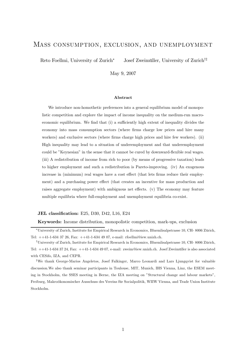## Mass consumption, exclusion, and unemployment

Reto Foellmi, University of Zurich<sup>∗</sup> Josef Zweimüller, University of Zurich<sup>†‡</sup>

May 9, 2007

#### Abstract

We introduce non-homothetic preferences into a general equilibrium model of monopolistic competition and explore the impact of income inequality on the medium-run macroeconomic equilibrium. We find that (i) a sufficiently high extent of inequality divides the economy into mass consumption sectors (where firms charge low prices and hire many workers) and exclusive sectors (where firms charge high prices and hire few workers). (ii) High inequality may lead to a situation of underemployment and that underemployment could be "Keynesian" in the sense that it cannot be cured by downward-flexible real wages. (iii) A redistribution of income from rich to poor (by means of progressive taxation) leads to higher employment and such a redistribution is Pareto-improving. (iv) An exogenous increase in (minimum) real wages have a cost effect (that lets firms reduce their employment) and a purchasing power effect (that creates an incentive for mass production and raises aggregate employment) with ambiguous net effects. (v) The economy may feature multiple equilibria where full-employment and unemployment equilibria co-exist.

### JEL classification: E25, D30, D42, L16, E24

Keywords: Income distribution, monopolistic competition, mark-ups, exclusion

<sup>∗</sup>University of Zurich, Institute for Empirical Research in Economics, Bluemlisalpstrasse 10, CH- 8006 Zürich, Tel: ++41-1-634 37 26, Fax: ++41-1-634 49 07, e-mail: rfoellmi@iew.unizh.ch.

<sup>†</sup>University of Zurich, Institute for Empirical Research in Economics, Bluemlisalpstrasse 10, CH- 8006 Zürich, Tel: ++41-1-634 37 24, Fax: ++41-1-634 49 07, e-mail: zweim@iew.unizh.ch. Josef Zweimüller is also associated with CESifo, IZA, and CEPR.

<sup>‡</sup>We thank George-Marios Angeletos, Josef Falkinger, Marco Leonardi and Lars Ljungqvist for valuable discussion.We also thank seminar participants in Toulouse, MIT, Munich, IHS Vienna, Linz, the ESEM meeting in Stockholm, the SSES meeting in Berne, the IZA meeting on "Structural change and labour markets", Freiburg, Makroökonomischer Ausschuss des Vereins für Socialpolitik, WIIW Vienna, and Trade Union Institute Stockholm.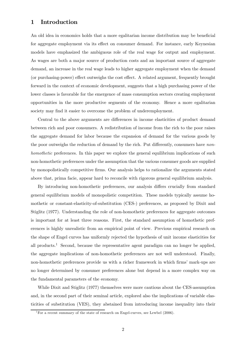## 1 Introduction

An old idea in economics holds that a more egalitarian income distribution may be beneficial for aggregate employment via its effect on consumer demand. For instance, early Keynesian models have emphasized the ambiguous role of the real wage for output and employment. As wages are both a major source of production costs and an important source of aggregate demand, an increase in the real wage leads to higher aggregate employment when the demand (or purchasing-power) effect outweighs the cost effect. A related argument, frequently brought forward in the context of economic development, suggests that a high purchasing power of the lower classes is favorable for the emergence of mass consumption sectors creating employment opportunities in the more productive segments of the economy. Hence a more egalitarian society may find it easier to overcome the problem of underemployment.

Central to the above arguments are differences in income elasticities of product demand between rich and poor consumers. A redistribution of income from the rich to the poor raises the aggregate demand for labor because the expansion of demand for the various goods by the poor outweighs the reduction of demand by the rich. Put differently, consumers have nonhomothetic preferences. In this paper we explore the general equilibrium implications of such non-homothetic preferences under the assumption that the various consumer goods are supplied by monopolistically competitive firms. Our analysis helps to rationalize the arguments stated above that, prima facie, appear hard to reconcile with rigorous general equilibrium analysis.

By introducing non-homothetic preferences, our analysis differs crucially from standard general equilibrium models of monopolistic competition. These models typically assume homothetic or constant-elasticity-of-substitution (CES-) preferences, as proposed by Dixit and Stiglitz (1977). Understanding the role of non-homothetic preferences for aggregate outcomes is important for at least three reasons. First, the standard assumption of homothetic preferences is highly unrealistic from an empirical point of view. Previous empirical research on the shape of Engel curves has uniformly rejected the hypothesis of unit income elasticities for all products.<sup>1</sup> Second, because the representative agent paradigm can no longer be applied, the aggregate implications of non-homothetic preferences are not well understood. Finally, non-homothetic preferences provide us with a richer framework in which firms' mark-ups are no longer determined by consumer preferences alone but depend in a more complex way on the fundamental parameters of the economy.

While Dixit and Stiglitz (1977) themselves were more cautious about the CES-assumption and, in the second part of their seminal article, explored also the implications of variable elasticities of substitution (VES), they abstained from introducing income inequality into their

<sup>&</sup>lt;sup>1</sup>For a recent summary of the state of research on Engel-curves, see Lewbel  $(2006)$ .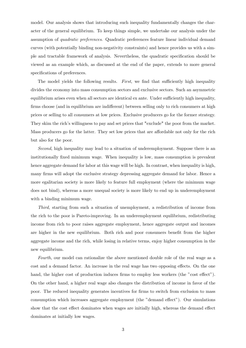model. Our analysis shows that introducing such inequality fundamentally changes the character of the general equilibrium. To keep things simple, we undertake our analysis under the assumption of quadratic preferences. Quadratic preferences feature linear individual demand curves (with potentially binding non-negativity constraints) and hence provides us with a simple and tractable framework of analysis. Nevertheless, the quadratic specification should be viewed as an example which, as discussed at the end of the paper, extends to more general specifications of preferences.

The model yields the following results. First, we find that sufficiently high inequality divides the economy into mass consumption sectors and exclusive sectors. Such an asymmetric equilibrium arises even when all sectors are identical ex ante. Under sufficiently high inequality, firms choose (and in equilibrium are indifferent) between selling only to rich consumers at high prices or selling to all consumers at low prices. Exclusive producers go for the former strategy. They skim the rich's willingness to pay and set prices that "exclude" the poor from the market. Mass producers go for the latter. They set low prices that are affordable not only for the rich but also for the poor.

Second, high inequality may lead to a situation of underemployment. Suppose there is an institutionally fixed minimum wage. When inequality is low, mass consumption is prevalent hence aggregate demand for labor at this wage will be high. In contrast, when inequality is high, many firms will adopt the exclusive strategy depressing aggregate demand for labor. Hence a more egalitarian society is more likely to feature full employment (where the minimum wage does not bind), whereas a more unequal society is more likely to end up in underemployment with a binding minimum wage.

Third, starting from such a situation of unemployment, a redistribution of income from the rich to the poor is Pareto-improving. In an underemployment equilibrium, redistributing income from rich to poor raises aggregate employment, hence aggregate output and incomes are higher in the new equilibrium. Both rich and poor consumers benefit from the higher aggregate income and the rich, while losing in relative terms, enjoy higher consumption in the new equilibrium.

Fourth, our model can rationalize the above mentioned double role of the real wage as a cost and a demand factor. An increase in the real wage has two opposing effects. On the one hand, the higher cost of production induces firms to employ less workers (the "cost effect"). On the other hand, a higher real wage also changes the distribution of income in favor of the poor. The reduced inequality generates incentives for firms to switch from exclusion to mass consumption which increases aggregate employment (the "demand effect"). Our simulations show that the cost effect dominates when wages are initially high, whereas the demand effect dominates at initially low wages.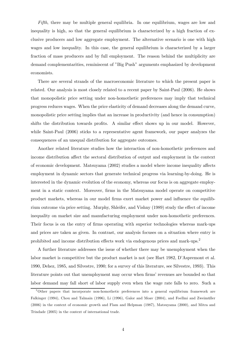Fifth, there may be multiple general equilibria. In one equilibrium, wages are low and inequality is high, so that the general equilibrium is characterized by a high fraction of exclusive producers and low aggregate employment. The alternative scenario is one with high wages and low inequality. In this case, the general equilibrium is characterized by a larger fraction of mass producers and by full employment. The reason behind the multiplicity are demand complementarities, reminiscent of "Big Push" arguments emphasized by development economists.

There are several strands of the macroeconomic literature to which the present paper is related. Our analysis is most closely related to a recent paper by Saint-Paul (2006). He shows that monopolistic price setting under non-homothetic preferences may imply that technical progress reduces wages. When the price elasticity of demand decreases along the demand curve, monopolistic price setting implies that an increase in productivity (and hence in consumption) shifts the distribution towards profits. A similar effect shows up in our model. However, while Saint-Paul (2006) sticks to a representative agent framework, our paper analyzes the consequences of an unequal distribution for aggregate outcomes.

Another related literature studies how the interaction of non-homothetic preferences and income distribution affect the sectoral distribution of output and employment in the context of economic development. Matsuyama (2002) studies a model where income inequality affects employment in dynamic sectors that generate technical progress via learning-by-doing. He is interested in the dynamic evolution of the economy, whereas our focus is on aggregate employment in a static context. Moreover, firms in the Matsuyama model operate on competitive product markets, whereas in our model firms exert market power and influence the equilibrium outcome via price setting. Murphy, Shleifer, and Vishny (1989) study the effect of income inequality on market size and manufacturing employment under non-homothetic preferences. Their focus is on the entry of firms operating with superior technologies whereas mark-ups and prices are taken as given. In contrast, our analysis focuses on a situation where entry is prohibited and income distribution effects work via endogenous prices and mark-ups.2

A further literature addresses the issue of whether there may be unemployment when the labor market is competitive but the product market is not (see Hart 1982, D'Aspremont et al. 1990, Dehez, 1985, and Silvestre, 1990; for a survey of this literature, see Silvestre, 1993). This literature points out that unemployment may occur when firms' revenues are bounded so that labor demand may fall short of labor supply even when the wage rate falls to zero. Such a

<sup>&</sup>lt;sup>2</sup>Other papers that incorporate non-homothetic preferences into a general equilibrium framework are Falkinger (1994), Chou and Talmain (1996), Li (1996), Galor and Moav (2004), and Foellmi and Zweimüller (2006) in the context of economic growth and Flam and Helpman (1987), Matsuyama (2000), and Mitra and Trindade (2005) in the context of international trade.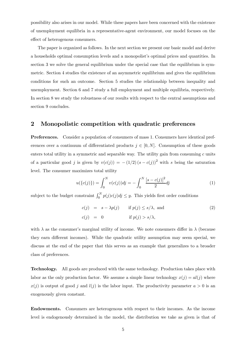possibility also arises in our model. While these papers have been concerned with the existence of unemployment equilibria in a representative-agent environment, our model focuses on the effect of heterogenous consumers.

The paper is organized as follows. In the next section we present our basic model and derive a households optimal consumption levels and a monopolist's optimal prices and quantities. In section 3 we solve the general equilibrium under the special case that the equilibrium is symmetric. Section 4 studies the existence of an asymmetric equilibrium and gives the equilibrium conditions for such an outcome. Section 5 studies the relationship between inequality and unemployment. Section 6 and 7 study a full employment and multiple equilibria, respectively. In section 8 we study the robustness of our results with respect to the central assumptions and section 9 concludes.

## 2 Monopolistic competition with quadratic preferences

Preferences. Consider a population of consumers of mass 1. Consumers have identical preferences over a continuum of differentiated products  $j \in [0, N]$ . Consumption of these goods enters total utility in a symmetric and separable way. The utility gain from consuming  $c$  units of a particular good j is given by  $v(c(j)) = -(1/2) (s - c(j))^2$  with s being the saturation level. The consumer maximizes total utility

$$
u(\{c(j)\}) = \int_0^N v(c(j))d{j} = -\int_0^N \frac{[s-c(j)]^2}{2}dj \tag{1}
$$

subject to the budget constraint  $\int_0^N p(j)c(j)dj \leq y$ . This yields first order conditions

$$
c(j) = s - \lambda p(j) \quad \text{if } p(j) \le s/\lambda, \text{ and}
$$
  
\n
$$
c(j) = 0 \quad \text{if } p(j) > s/\lambda,
$$
\n(2)

with  $\lambda$  as the consumer's marginal utility of income. We note consumers differ in  $\lambda$  (because they earn different incomes). While the quadratic utility assumption may seem special, we discuss at the end of the paper that this serves as an example that generalizes to a broader class of preferences.

Technology. All goods are produced with the same technology. Production takes place with labor as the only production factor. We assume a simple linear technology  $x(j) = al(j)$  where  $x(j)$  is output of good j and  $l(j)$  is the labor input. The productivity parameter  $a > 0$  is an exogenously given constant.

Endowments. Consumers are heterogenous with respect to their incomes. As the income level is endogenously determined in the model, the distribution we take as given is that of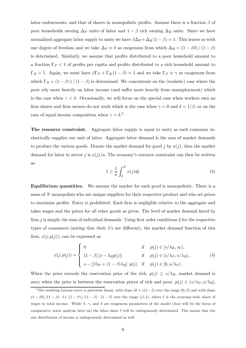labor endowments, and that of shares in monopolistic profits. Assume there is a fraction  $\beta$  of poor households owning  $\Delta_P$  units of labor and  $1 - \beta$  rich owning  $\Delta_R$  units. Since we have normalized aggregate labor supply to unity we have  $\beta \Delta_P + \Delta_R (1 - \beta) = 1$ . This leaves us with one degree of freedom and we take  $\Delta_P \equiv \delta$  as exogenous from which  $\Delta_R = (1 - \beta \delta) / (1 - \beta)$ is determined. Similarly, we assume that profits distributed to a poor household amount to a fraction  $\Gamma_P < 1$  of profits per capita and profits distributed to a rich household amount to  $\Gamma_R > 1$ . Again, we must have  $\beta \Gamma_P + \Gamma_R (1 - \beta) = 1$  and we take  $\Gamma_P \equiv \gamma$  as exogenous from which  $\Gamma_R = (1 - \beta \gamma)/(1 - \beta)$  is determined. We concentrate on the (realistic) case where the poor rely more heavily on labor income (and suffer more heavily from unemployment) which is the case when  $\gamma < \delta$ . Occasionally, we will focus on the special case when workers own no firm shares and firm owners do not work which is the case when  $\gamma = 0$  and  $\delta = 1/\beta$ ; or on the case of equal income composition when  $\gamma = \delta$ <sup>3</sup>

The resource constraint. Aggregate labor supply is equal to unity as each consumer inelastically supplies one unit of labor. Aggregate labor demand is the sum of market demands to produce the various goods. Denote the market demand for good j by  $x(j)$ , then the market demand for labor in sector j is  $x(j)/a$ . The economy's resource constraint can then be written as

$$
1 \ge \frac{1}{a} \int_0^N x(j) \, dj. \tag{3}
$$

Equilibrium quantities. We assume the market for each good is monopolistic. There is a mass of N monopolists who are unique suppliers for their respective product and who set prices to maximize profits. Entry is prohibited. Each firm is negligible relative to the aggregate and takes wages and the prices for all other goods as given. The level of market demand faced by firm  $\dot{\eta}$  is simply the sum of individual demands. Using first order conditions 2 for the respective types of consumers (noting that their  $\lambda$ 's are different), the market demand function of this firm,  $x(j, p(j))$ , can be expressed as

$$
x(j, p(j)) = \begin{cases} 0 & \text{if } p(j) \in [s/\lambda_R, \infty), \\ (1 - \beta) [s - \lambda_R p(j)] & \text{if } p(j) \in [s/\lambda_P, s/\lambda_R), \\ s - [\beta \lambda_P + (1 - \beta) \lambda_R] p(j) & \text{if } p(j) \in [0, s/\lambda_P). \end{cases}
$$
(4)

When the price exceeds the reservation price of the rich,  $p(j) \geq s/\lambda_R$ , market demand is zero; when the price is between the reservation prices of rich and poor,  $p(j) \in (s/\lambda_P, s/\lambda_R]$ ,

<sup>&</sup>lt;sup>3</sup>The resulting Lorenz-curve is piecewise linear, with slope  $\delta\ell + \gamma(1-\ell)$  over the range  $(0,\beta)$  and with slope  $(1 - \beta \delta)/(1 - \beta) \cdot (1 - \beta \gamma)/(1 - \beta) \cdot (1 - \ell)$  over the range  $(\beta, 1)$ , where  $\ell$  is the economy-wide share of wages in total income. While  $\beta$ ,  $\gamma$ , and  $\delta$  are exogenous parameters of the model (that will be the focus of comparative static analysis later on) the labor share  $\ell$  will be endogensouly determined. This means that the size distribution of income is endogenously determined as well.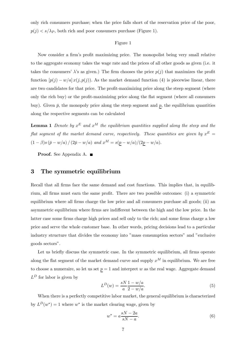only rich consumers purchase; when the price falls short of the reservation price of the poor,  $p(j) \lt s/\lambda_P$ , both rich and poor consumers purchase (Figure 1).

#### Figure 1

Now consider a firm's profit maximizing price. The monopolist being very small relative to the aggregate economy takes the wage rate and the prices of all other goods as given (i.e. it takes the consumers'  $\lambda$ 's as given.) The firm chooses the price  $p(j)$  that maximizes the profit function  $[p(j) - w/a] x(j, p(j))$ . As the market demand function (4) is piecewise linear, there are two candidates for that price. The profit-maximizing price along the steep segment (where only the rich buy) or the profit-maximizing price along the flat segment (where all consumers buy). Given  $\bar{p}$ , the monopoly price along the steep segment and  $\bar{p}$ , the equilibrium quantities along the respective segments can be calculated

**Lemma 1** Denote by  $x^E$  and  $x^M$  the equilibrium quantities supplied along the steep and the flat segment of the market demand curve, respectively. These quantities are given by  $x^E =$  $(1 - \beta)s(\bar{p} - w/a)/(2\bar{p} - w/a)$  and  $x^M = s(p - w/a)/(2p - w/a)$ .

Proof. See Appendix A. ■

## 3 The symmetric equilibrium

Recall that all firms face the same demand and cost functions. This implies that, in equilibrium, all firms must earn the same profit. There are two possible outcomes: (i) a symmetric equilibrium where all firms charge the low price and all consumers purchase all goods; (ii) an asymmetric equilibrium where firms are indifferent between the high and the low price. In the latter case some firms charge high prices and sell only to the rich; and some firms charge a low price and serve the whole customer base. In other words, pricing decisions lead to a particular industry structure that divides the economy into "mass consumption sectors" and "exclusive goods sectors".

Let us briefly discuss the symmetric case. In the symmetric equilibrium, all firms operate along the flat segment of the market demand curve and supply  $x^M$  in equilibrium. We are free to choose a numeraire, so let us set  $p = 1$  and interpret w as the real wage. Aggregate demand  $L^D$  for labor is given by

$$
L^{D}(w) = \frac{sN}{a} \frac{1 - w/a}{2 - w/a}.
$$
\n(5)

When there is a perfectly competitive labor market, the general equilibrium is characterized by  $L^D(w^*)=1$  where w<sup>∗</sup> is the market clearing wage, given by

$$
w^* = a\frac{sN - 2a}{sN - a}.\tag{6}
$$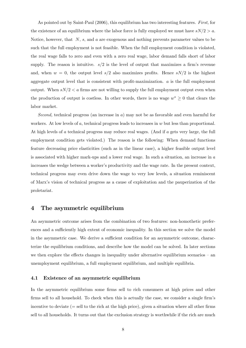As pointed out by Saint-Paul (2006), this equilibrium has two interesting features. First, for the existence of an equilibrium where the labor force is fully employed we must have  $sN/2 > a$ . Notice, however, that  $N$ , s, and a are exogenous and nothing prevents parameter values to be such that the full employment is not feasible. When the full employment condition is violated, the real wage falls to zero and even with a zero real wage, labor demand falls short of labor supply. The reason is intuitive.  $s/2$  is the level of output that maximizes a firm's revenue and, when  $w = 0$ , the output level  $s/2$  also maximizes profits. Hence  $sN/2$  is the highest aggregate output level that is consistent with profit-maximization. a is the full employment output. When  $sN/2 < a$  firms are not willing to supply the full employment output even when the production of output is costless. In other words, there is no wage  $w^* \geq 0$  that clears the labor market.

Second, technical progress (an increase in a) may not be as favorable and even harmful for workers. At low levels of  $a$ , technical progress leads to increases in  $w$  but less than proportional. At high levels of a technical progress may reduce real wages. (And if a gets very large, the full employment condition gets violated.) The reason is the following: When demand functions feature decreasing price elasticities (such as in the linear case), a higher feasible output level is associated with higher mark-ups and a lower real wage. In such a situation, an increase in  $a$ increases the wedge between a worker's productivity and the wage rate. In the present context, technical progress may even drive down the wage to very low levels, a situation reminiscent of Marx's vision of technical progress as a cause of exploitation and the pauperization of the proletariat.

## 4 The asymmetric equilibrium

An asymmetric outcome arises from the combination of two features: non-homothetic preferences and a sufficiently high extent of economic inequality. In this section we solve the model in the asymmetric case. We derive a sufficient condition for an asymmetric outcome, characterize the equilibrium conditions, and describe how the model can be solved. In later sections we then explore the effects changes in inequality under alternative equilibrium scenarios – an unemployment equilibrium, a full employment equilibrium, and multiple equilibria.

#### 4.1 Existence of an asymmetric equilibrium

In the asymmetric equilibrium some firms sell to rich consumers at high prices and other firms sell to all household. To check when this is actually the case, we consider a single firm's incentive to deviate (= sell to the rich at the high price), given a situation where all other firms sell to all households. It turns out that the exclusion strategy is worthwhile if the rich are much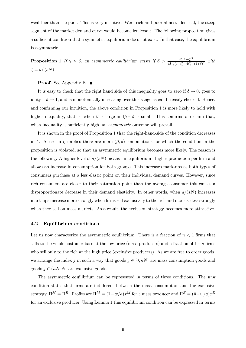wealthier than the poor. This is very intuitive. Were rich and poor almost identical, the steep segment of the market demand curve would become irrelevant. The following proposition gives a sufficient condition that a symmetric equilibrium does not exist. In that case, the equilibrium is asymmetric.

**Proposition 1** If  $\gamma \leq \delta$ , an asymmetric equilibrium exists if  $\beta > \frac{4\delta(1-\zeta)^2}{4\delta^2\zeta(1-\zeta)-4\delta\zeta+1}$  $\frac{4\delta(1-\zeta)}{4\delta^2\zeta(1-\zeta)-4\delta\zeta+(1+\delta)^2}$  with  $\zeta \equiv a/(sN)$ .

#### **Proof.** See Appendix B. ■

It is easy to check that the right hand side of this inequality goes to zero if  $\delta \to 0$ , goes to unity if  $\delta \to 1$ , and is monotonically increasing over this range as can be easily checked. Hence, and confirming our intuition, the above condition in Proposition 1 is more likely to hold with higher inequality, that is, when  $\beta$  is large and/or  $\delta$  is small. This confirms our claim that, when inequality is sufficiently high, an *asymmetric* outcome will prevail.

It is shown in the proof of Proposition 1 that the right-hand-side of the condition decreases in ζ. A rise in ζ implies there are more  $(\beta, \delta)$ -combinations for which the condition in the proposition is violated, so that an asymmetric equilibrium becomes more likely. The reason is the following. A higher level of  $a/(sN)$  means - in equilibrium - higher production per firm and allows an increase in consumption for both groups. This increases mark-ups as both types of consumers purchase at a less elastic point on their individual demand curves. However, since rich consumers are closer to their saturation point than the average consumer this causes a disproportionate decrease in their demand elasticity. In other words, when  $a/(sN)$  increases mark-ups increase more strongly when firms sell exclusively to the rich and increase less strongly when they sell on mass markets. As a result, the exclusion strategy becomes more attractive.

#### 4.2 Equilibrium conditions

Let us now characterize the asymmetric equilibrium. There is a fraction of  $n < 1$  firms that sells to the whole customer base at the low price (mass producers) and a fraction of  $1-n$  firms who sell only to the rich at the high price (exclusive producers). As we are free to order goods, we arrange the index j in such a way that goods  $j \in [0, nN]$  are mass consumption goods and goods  $j \in (nN, N]$  are exclusive goods.

The asymmetric equilibrium can be represented in terms of three conditions. The first condition states that firms are indifferent between the mass consumption and the exclusive strategy,  $\Pi^M = \Pi^E$ . Profits are  $\Pi^M = (1 - w/a)x^M$  for a mass producer and  $\Pi^E = (\bar{p} - w/a)x^E$ for an exclusive producer. Using Lemma 1 this equilibrium condition can be expressed in terms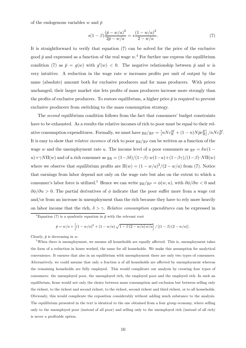of the endogenous variables w and  $\bar{p}$ 

$$
s(1 - \beta) \frac{(\bar{p} - w/a)^2}{2\bar{p} - w/a} = s \frac{(1 - w/a)^2}{2 - w/a}.
$$
 (7)

It is straightforward to verify that equation (7) can be solved for the price of the exclusive good  $\bar{p}$  and expressed as a function of the real wage  $w<sup>4</sup>$ . For further use express the equilibrium condition (7) as  $\bar{p} = g(w)$  with  $g'(w) < 0$ . The negative relationship between  $\bar{p}$  and w is very intuitive. A reduction in the wage rate  $w$  increases profits per unit of output by the same (absolute) amount both for exclusive producers and for mass producers. With prices unchanged, their larger market size lets profits of mass producers increase more strongly than the profits of exclusive producers. To restore equilibrium, a higher price  $\bar{p}$  is required to prevent exclusive producers from switching to the mass consumption strategy.

The second equilibrium condition follows from the fact that consumers' budget constraints have to be exhausted. As a results the relative incomes of rich to poor must be equal to their relative consumption expenditures. Formally, we must have  $y_R/y_P = \left[ nNc_R^M + (1 - n)N\bar{p}c_R^E \right] / nNc_P^M$ . It is easy to show that *relative incomes* of rich to poor  $y_R/y_P$  can be written as a function of the wage w and the unemployment rate u. The income level of a poor consumers as  $y_P = \delta w(1$ u)+γNΠ(w) and of a rich consumer as  $y_R = (1-\beta\delta)/(1-\beta)\cdot w(1-u)+(1-\beta\gamma)/(1-\beta)\cdot N\Pi(w)$ where we observe that equilibrium profits are  $\Pi(w) = (1 - w/a)^2/(2 - w/a)$  from (7). Notice that earnings from labor depend not only on the wage rate but also on the extent to which a consumer's labor force is utilized.<sup>5</sup> Hence we can write  $y_R/y_P = \phi(w, u)$ , with  $\partial \phi / \partial w < 0$  and  $\partial \phi / \partial u > 0$ . The partial derivatives of  $\phi$  indicate that the poor suffer more from a wage cut and/or from an increase in unemployment than the rich because they have to rely more heavily on labor income that the rich,  $\delta > \gamma$ . Relative consumption expenditures can be expressed in

<sup>4</sup>Equation (7) is a quadratic equation in  $\bar{p}$  with the relevant root

$$
\bar{p} = w/a + \left[ (1 - w/a)^2 + (1 - w/a) \sqrt{1 - \beta (2 - w/a) w/a} \right] / \left[ (1 - \beta) (2 - w/a) \right].
$$

Clearly,  $\bar{p}$  is decreasing in w.

<sup>5</sup>When there is unemployment, we assume all households are equally affected. This is, unemployment takes the form of a reduction in hours worked, the same for all households. We make this assumption for analytical convenience. It ensures that also in an equilibrium with unemployment there are only two types of consumers. Alternatively, we could assume that only a fraction  $u$  of all households are affected by unemployment whereas the remaining households are fully employed. This would complicate our analysis by creating four types of consumers: the unemployed poor, the unemployed rich, the employed poor and the employed rich. In such an equilibrium, firms would not only the choice between mass consumption and exclusion but between selling only the richest, to the richest and second richest, to the richest, second richest and third richest, or to all households. Obviously, this would complicate the exposition considerably without adding much substance to the analysis. The equilibrium presented in the text is identical to the one obtained from a four group economy, where selling only to the unemployed poor (instead of all poor) and selling only to the unemployed rich (instead of all rich) is never a profitable option.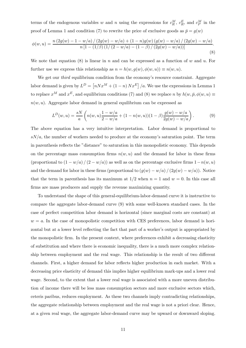terms of the endogenous variables w and n using the expressions for  $c_R^M$ ,  $c_R^E$ , and  $c_P^M$  in the proof of Lemma 1 and condition (7) to rewrite the price of exclusive goods as  $\bar{p} = g(w)$ 

$$
\phi(w, u) = \frac{n (2g(w) - 1 - w/a) / (2g(w) - w/a) + (1 - n)g(w) (g(w) - w/a) / (2g(w) - w/a)}{n [1 - (1/\beta) (1/(2 - w/a) - (1 - \beta) / (2g(w) - w/a))]}.
$$
\n(8)

We note that equation  $(8)$  is linear in n and can be expressed as a function of w and u. For further use we express this relationship as  $n = h(w, g(w), \phi(w, u)) \equiv n(w, u)$ .

We get our *third* equilibrium condition from the economy's resource constraint. Aggregate labor demand is given by  $L^D = [nNx^M + (1-n)Nx^E]/a$ . We use the expressions in Lemma 1 to replace  $x^M$  and  $x^E$ , and equilibrium conditions (7) and (8) we replace n by  $h(w, \bar{p}, \phi(w, u)) \equiv$  $n(w, u)$ . Aggregate labor demand in general equilibrium can be expressed as

$$
L^{D}(w, u) = \frac{sN}{a} \left( n(w, u) \frac{1 - w/a}{2 - w/a} + (1 - n(w, u))(1 - \beta) \frac{g(w) - w/a}{2g(w) - w/a} \right). \tag{9}
$$

The above equation has a very intuitive interpretation. Labor demand is proportional to  $sN/a$ , the number of workers needed to produce at the economy's saturation point. The term in parenthesis reflects the "distance" to saturation in this monopolistic economy. This depends on the percentage mass consumption firms  $n(w, u)$  and the demand for labor in these firms (proportional to  $(1 - w/a) / (2 - w/a)$ ) as well as on the percentage exclusive firms  $1 - n(w, u)$ and the demand for labor in these firms (proportional to  $(g(w) - w/a) / (2g(w) - w/a)$ ). Notice that the term in parenthesis has its maximum at  $1/2$  when  $n = 1$  and  $w = 0$ . In this case all firms are mass producers and supply the revenue maximizing quantity.

To understand the shape of this general-equilibrium-labor-demand curve it is instructive to compare the aggregate labor-demand curve (9) with some well-known standard cases. In the case of perfect competition labor demand is horizontal (since marginal costs are constant) at  $w = a$ . In the case of monopolistic competition with CES preferences, labor demand is horizontal but at a lower level reflecting the fact that part of a worker's output is appropriated by the monopolistic firm. In the present context, where preferences exhibit a decreasing elasticity of substitution and where there is economic inequality, there is a much more complex relationship between employment and the real wage. This relationship is the result of two different channels. First, a higher demand for labor reflects higher production in each market. With a decreasing price elasticity of demand this implies higher equilibrium mark-ups and a lower real wage. Second, to the extent that a lower real wage is associated with a more uneven distribution of income there will be less mass consumption sectors and more exclusive sectors which, ceteris paribus, reduces employment. As these two channels imply contradicting relationships, the aggregate relationship between employment and the real wage is not a priori clear. Hence, at a given real wage, the aggregate labor-demand curve may be upward or downward sloping.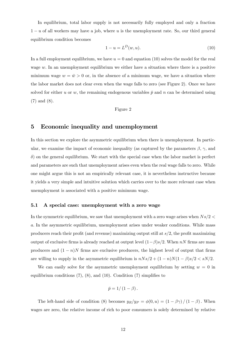In equilibrium, total labor supply is not necessarily fully employed and only a fraction  $1 - u$  of all workers may have a job, where u is the unemployment rate. So, our third general equilibrium condition becomes

$$
1 - u = L^D(w, u). \t\t(10)
$$

In a full employment equilibrium, we have  $u = 0$  and equation (10) solves the model for the real wage w. In an unemployment equilibrium we either have a situation where there is a positive minimum wage  $w = \bar{w} > 0$  or, in the absence of a minimum wage, we have a situation where the labor market does not clear even when the wage falls to zero (see Figure 2). Once we have solved for either u or w, the remaining endogenous variables  $\bar{p}$  and n can be determined using (7) and (8).

Figure 2

## 5 Economic inequality and unemployment

In this section we explore the asymmetric equilibrium when there is unemployment. In particular, we examine the impact of economic inequality (as captured by the parameters  $\beta$ ,  $\gamma$ , and  $\delta$ ) on the general equilibrium. We start with the special case when the labor market is perfect and parameters are such that unemployment arises even when the real wage falls to zero. While one might argue this is not an empirically relevant case, it is nevertheless instructive because it yields a very simple and intuitive solution which carries over to the more relevant case when unemployment is associated with a positive minimum wage.

#### 5.1 A special case: unemployment with a zero wage

In the symmetric equilibrium, we saw that unemployment with a zero wage arises when  $Ns/2 <$ a. In the asymmetric equilibrium, unemployment arises under weaker conditions. While mass producers reach their profit (and revenue) maximizing output still at  $s/2$ , the profit maximizing output of exclusive firms is already reached at output level  $(1-\beta)s/2$ . When nN firms are mass producers and  $(1 - n)N$  firms are exclusive producers, the highest level of output that firms are willing to supply in the asymmetric equilibrium is  $nNs/2 + (1 - n)N(1 - \beta)s/2 < sN/2$ .

We can easily solve for the asymmetric unemployment equilibrium by setting  $w = 0$  in equilibrium conditions (7), (8), and (10). Condition (7) simplifies to

$$
\bar{p}=1/\left(1-\beta\right).
$$

The left-hand side of condition (8) becomes  $y_R/y_P = \phi(0, u) = (1 - \beta \gamma)/(1 - \beta)$ . When wages are zero, the relative income of rich to poor consumers is solely determined by relative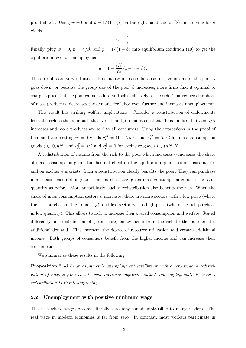profit shares. Using  $w = 0$  and  $\bar{p} = 1/(1 - \beta)$  on the right-hand-side of (8) and solving for n yields

$$
n=\frac{\gamma}{\beta}.
$$

Finally, plug  $w = 0$ ,  $n = \gamma/\beta$ , and  $\bar{p} = 1/(1 - \beta)$  into equilibrium condition (10) to get the equilibrium level of unemployment

$$
u=1-\frac{sN}{2a}\left(1+\gamma-\beta\right).
$$

These results are very intuitive. If inequality increases because relative income of the poor  $\gamma$ goes down, or because the group size of the poor  $\beta$  increases, more firms find it optimal to charge a price that the poor cannot afford and sell exclusively to the rich. This reduces the share of mass producers, decreases the demand for labor even further and increases unemployment.

This result has striking welfare implications. Consider a redistribution of endowments from the rich to the poor such that  $\gamma$  rises and  $\beta$  remains constant. This implies that  $n = \gamma/\beta$ increases and more products are sold to all consumers. Using the expressions in the proof of Lemma 1 and setting  $w = 0$  yields  $c_R^M = (1 + \beta)s/2$  and  $c_P^M = \beta s/2$  for mass consumption goods  $j \in [0, nN]$  and  $c_R^E = s/2$  and  $c_P^E = 0$  for exclusive goods  $j \in (nN, N]$ .

A redistribution of income from the rich to the poor which increases  $\gamma$  increases the share of mass consumption goods but has not effect on the equilibrium quantities on mass market and on exclusive markets. Such a redistribution clearly benefits the poor. They can purchase more mass consumption goods, and purchase any given mass consumption good in the same quantity as before. More surprisingly, such a redistribution also benefits the rich. When the share of mass consumption sectors  $n$  increases, there are more sectors with a low price (where the rich purchase in high quantity), and less sector with a high price (where the rich purchase in low quantity). This allows to rich to increase their overall consumption and welfare. Stated differently, a redistribution of (firm share) endowments from the rich to the poor creates additional demand. This increases the degree of resource utilization and creates additional income. Both groups of consumers benefit from the higher income and can increase their consumption.

We summarize these results in the following

Proposition 2 a) In an asymmetric unemployment equilibrium with a zero wage, a redistribution of income from rich to poor increases aggregate output and employment. b) Such a redistribution is Pareto-improving.

#### 5.2 Unemployment with positive minimum wage

The case where wages become literally zero may sound implausible to many readers. The real wage in modern economies is far from zero. In contrast, most workers participate in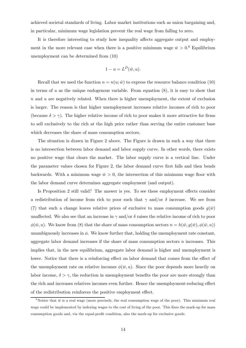achieved societal standards of living. Labor market institutions such as union bargaining and, in particular, minimum wage legislation prevent the real wage from falling to zero.

It is therefore interesting to study how inequality affects aggregate output and employment in the more relevant case when there is a positive minimum wage  $\bar{w} > 0.6$  Equilibrium unemployment can be determined from (10)

$$
1 - u = L^D(\bar{w}, u).
$$

Recall that we used the function  $n = n(u; \bar{w})$  to express the resource balance condition (10) in terms of  $u$  as the unique endogenous variable. From equation  $(8)$ , it is easy to show that  $n$  and  $u$  are negatively related. When there is higher unemployment, the extent of exclusion is larger. The reason is that higher unemployment increases relative incomes of rich to poor (because  $\delta > \gamma$ ). The higher relative income of rich to poor makes it more attractive for firms to sell exclusively to the rich at the high price rather than serving the entire customer base which decreases the share of mass consumption sectors.

The situation is drawn in Figure 2 above. The Figure is drawn in such a way that there is no intersection between labor demand and labor supply curve. In other words, there exists no positive wage that clears the market. The labor supply curve is a vertical line. Under the parameter values chosen for Figure 2, the labor demand curve first falls and then bends backwards. With a minimum wage  $\bar{w} > 0$ , the intersection of this minimum wage floor with the labor demand curve determines aggregate employment (and output).

Is Proposition 2 still valid? The answer is yes. To see these employment effects consider a redistribution of income from rich to poor such that  $\gamma$  and/or  $\delta$  increase. We see from (7) that such a change leaves relative prices of exclusive to mass consumption goods  $g(\bar{w})$ unaffected. We also see that an increase in  $\gamma$  and/or  $\delta$  raises the relative income of rich to poor  $\phi(\bar{w}, u)$ . We know from (8) that the share of mass consumption sectors  $n = h(\bar{w}, g(\bar{w}), \phi(\bar{w}, u))$ unambiguously increases in  $\phi$ . We know further that, holding the unemployment rate constant, aggregate labor demand increases if the share of mass consumption sectors  $n$  increases. This implies that, in the new equilibrium, aggregate labor demand is higher and unemployment is lower. Notice that there is a reinforcing effect on labor demand that comes from the effect of the unemployment rate on relative incomes  $\phi(\bar{w}, u)$ . Since the poor depends more heavily on labor income,  $\delta > \gamma$ , the reduction in unemployment benefits the poor are more strongly than the rich and increases relatives incomes even further. Hence the unemployment-reducing effect of the redistribution reinforces the positive employment effect.

<sup>&</sup>lt;sup>6</sup>Notice that  $\bar{w}$  is a real wage (more precisely, the real consumption wage of the poor). This minimum real wage could be implemented by indexing wages to the cost of living of the poor. This fixes the mark-up for mass consumption goods and, via the equal-profit condition, also the mark-up for exclusive goods.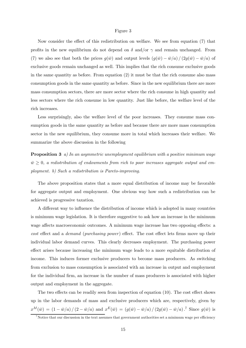#### Figure 3

Now consider the effect of this redistribution on welfare. We see from equation (7) that profits in the new equilibrium do not depend on  $\delta$  and/or  $\gamma$  and remain unchanged. From (7) we also see that both the prices  $g(\bar{w})$  and output levels  $(g(\bar{w}) - \bar{w}/a) / (2g(\bar{w}) - \bar{w}/a)$  of exclusive goods remain unchanged as well. This implies that the rich consume exclusive goods in the same quantity as before. From equation (2) it must be that the rich consume also mass consumption goods in the same quantity as before. Since in the new equilibrium there are more mass consumption sectors, there are more sector where the rich consume in high quantity and less sectors where the rich consume in low quantity. Just like before, the welfare level of the rich increases.

Less surprisingly, also the welfare level of the poor increases. They consume mass consumption goods in the same quantity as before and because there are more mass consumption sector in the new equilibrium, they consume more in total which increases their welfare. We summarize the above discussion in the following

**Proposition 3** a) In an asymmetric unemployment equilibrium with a positive minimum wage  $\bar{w} \geq 0$ , a redistribution of endowments from rich to poor increases aggregate output and employment. b) Such a redistribution is Pareto-improving.

The above proposition states that a more equal distribution of income may be favorable for aggregate output and employment. One obvious way how such a redistribution can be achieved is progressive taxation.

A different way to influence the distribution of income which is adopted in many countries is minimum wage legislation. It is therefore suggestive to ask how an increase in the minimum wage affects macroeconomic outcomes. A minimum wage increase has two opposing effects: a cost effect and a demand (purchasing power) effect. The cost effect lets firms move up their individual labor demand curves. This clearly decreases employment. The purchasing power effect arises because increasing the minimum wage leads to a more equitable distribution of income. This induces former exclusive producers to become mass producers. As switching from exclusion to mass consumption is associated with an increase in output and employment for the individual firm, an increase in the number of mass producers is associated with higher output and employment in the aggregate.

The two effects can be readily seen from inspection of equation (10). The cost effect shows up in the labor demands of mass and exclusive producers which are, respectively, given by  $x^M(\bar{w}) = (1 - \bar{w}/a)/(2 - \bar{w}/a)$  and  $x^E(\bar{w}) = (g(\bar{w}) - \bar{w}/a)/(2g(\bar{w}) - \bar{w}/a)$ .<sup>7</sup> Since  $g(\bar{w})$  is

<sup>&</sup>lt;sup>7</sup>Notice that our discussion in the text assumes that government authorities set a minimum wage per efficiency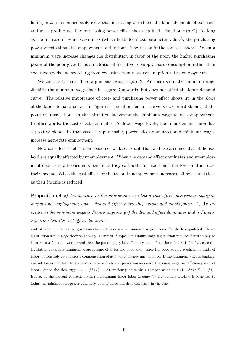falling in  $\bar{w}$ , it is immediately clear that increasing  $\bar{w}$  reduces the labor demands of exclusive and mass producers. The purchasing power effect shows up in the function  $n(u; \bar{w})$ . As long as the increase in  $\bar{w}$  increases in n (which holds for most parameter values), the purchasing power effect stimulates employment and output. The reason is the same as above. When a minimum wage increase changes the distribution in favor of the poor, the higher purchasing power of the poor gives firms an additional incentive to supply mass consumption rather than exclusive goods and switching from exclusion from mass consumption raises employment.

We can easily make these arguments using Figure 3. An increase in the minimum wage  $\bar{w}$  shifts the minimum wage floor in Figure 3 upwards, but does not affect the labor demand curve. The relative importance of cost- and purchasing power effect shows up in the slope of the labor demand curve. In Figure 3, the labor demand curve is downward sloping at the point of intersection. In that situation increasing the minimum wage reduces employment. In other words, the cost effect dominates. At lower wage levels, the labor demand curve has a positive slope. In that case, the purchasing power effect dominates and minimum wages increase aggregate employment.

Now consider the effects on consumer welfare. Recall that we have assumed that all household are equally affected by unemployment. When the demand effect dominates and unemployment decreases, all consumers benefit as they can better utilize their labor force and increase their income. When the cost effect dominates and unemployment increases, all households lose as their income is reduced.

**Proposition 4** a) An increase in the minimum wage has a cost effect, decreasing aggregate output and employment; and a demand effect increasing output and employment. b) An increase in the minimum wage is Pareto-improving if the demand effect dominates and is Paretoinferior when the cost effect dominates.

unit of labor  $\bar{w}$ . In reality, governments want to ensure a minimum wage income for the low qualified. Hence legistlation sets a wage floor on (hourly) earnings. Suppose minimum wage legistlation requires firms to pay at least  $\bar{w}$  to a full time worker and that the poor supply less efficiency units than the rich  $\delta < 1$ . In that case the legislation ensures a minimum wage income of  $\bar{w}$  for the poor and - since the poor supply  $\delta$  efficiency units of labor - implicitely establishes a compensation of  $\bar{w}/\delta$  per efficiency unit of labor. If the minimum wage is binding, market forces will lead to a situation where (rich and poor) workers earn the same wage per efficiency unit of labor. Since the rich supply  $(1 - \beta \delta)/(1 - \beta)$  efficiency units their compensation is  $\bar{w}(1 - \beta \delta)/(\delta (1 - \beta))$ . Hence, in the present context, setting a minimum labor labor income for low-income workers is identical to fixing the minimum wage per efficiency unit of labor which is discussed in the text.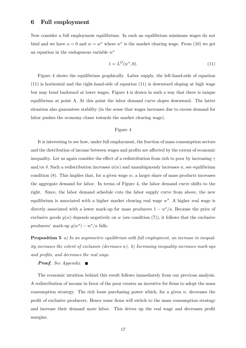### 6 Full employment

Now consider a full employment equilibrium. In such an equilibrium minimum wages do not bind and we have  $u = 0$  and  $w = w^*$  where  $w^*$  is the market clearing wage. From (10) we get an equation in the endogenous variable  $w^*$ 

$$
1 = L^D(w^*, 0). \tag{11}
$$

Figure 4 shows the equilibrium graphically. Labor supply, the left-hand-side of equation  $(11)$  is horizontal and the right-hand-side of equation  $(11)$  is downward sloping at high wage but may bend backward at lower wages. Figure 4 is drawn in such a way that there is unique equilibrium at point A. At this point the labor demand curve slopes downward. The latter situation also guarantees stability (in the sense that wages increases due to excess demand for labor pushes the economy closer towards the market clearing wage).

#### Figure 4

It is interesting to see how, under full employment, the fraction of mass consumption sectors and the distribution of income between wages and profits are affected by the extent of economic inequality. Let us again consider the effect of a redistribution from rich to poor by increasing  $\gamma$ and/or  $\delta$ . Such a redistribution increases  $\phi(w)$  and unambiguously increases n, see equilibrium condition  $(8)$ . This implies that, for a given wage w, a larger share of mass products increases the aggregate demand for labor. In terms of Figure 4, the labor demand curve shifts to the right. Since, the labor demand schedule cuts the labor supply curve from above, the new equilibrium is associated with a higher market clearing real wage  $w^*$ . A higher real wage is directly associated with a lower mark-up for mass producers  $1 - w^*/a$ . Because the price of exclusive goods  $q(w)$  depends negatively on w (see condition (7)), it follows that the exclusive producers' mark-up  $q(w^*) - w^*/a$  falls.

**Proposition 5** a) In an asymmetric equilibrium with full employment, an increase in inequality increases the extent of exclusion (decreases n). b) Increasing inequality increases mark-ups and profits, and decreases the real wage.

#### **Proof.** See Appendix.  $\blacksquare$

The economic intuition behind this result follows immediately from our previous analysis. A redistribution of income in favor of the poor creates an incentive for firms to adopt the mass consumption strategy. The rich loose purchasing power which, for a given  $n$ , decreases the profit of exclusive producers. Hence some firms will switch to the mass consumption strategy and increase their demand more labor. This drives up the real wage and decreases profit margins.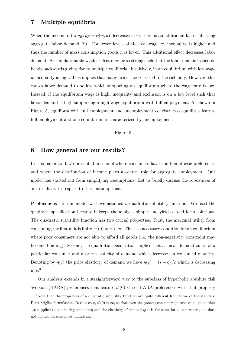## 7 Multiple equilibria

When the income ratio  $y_R/y_P = \phi(w, u)$  decreases in w, there is an additional factor affecting aggregate labor demand  $(9)$ . For lower levels of the real wage w, inequality is higher and thus the number of mass consumption goods  $n$  is lower. This additional effect decreases labor demand. As simulations show, this effect may be so strong such that the labor demand schedule bends backwards giving rise to multiple equilibria. Intuitively, in an equilibrium with low wage  $w$  inequality is high. This implies that many firms choose to sell to the rich only. However, this causes labor demand to be low which supporting an equilibrium where the wage rate is low. Instead, if the equilibrium wage is high, inequality and exclusion is on a low level such that labor demand is high supporting a high-wage equilibrium with full employment. As shown in Figure 5, equilibria with full employment and unemployment coexist: two equilibria feature full employment and one equilibrium is characterized by unemployment.

#### Figure 5

### 8 How general are our results?

In this paper we have presented an model where consumers have non-homothetic preferences and where the distribution of income plays a central role for aggregate employment. Our model has started out from simplifying assumptions. Let us briefly discuss the robustness of our results with respect to these assumptions.

Preferences In our model we have assumed a quadratic subutility function. We used the quadratic specification because it keeps the analysis simple and yields closed form solutions. The quadratic subutility function has two crucial properties. First, the marginal utility from consuming the first unit is finite,  $v'(0) = s < \infty$ . This is a necessary condition for an equilibrium where poor consumers are not able to afford all goods (i.e. the non-negativity constraint may become binding). Second, the quadratic specification implies that a linear demand curve of a particular consumer and a price elasticity of demand which decreases in consumed quantity. Denoting by  $\eta(c)$  the price elasticity of demand we have  $\eta(c)=(s-c)/c$  which is decreasing in  $c$ <sup>8</sup>

Our analysis extends in a straightforward way to the subclass of hyperbolic absolute risk aversion (HARA) preferences that feature  $v'(0) < \infty$ . HARA-preferences with that property

<sup>&</sup>lt;sup>8</sup>Note that the properties of a quadratic subutility function are quite different from those of the standard Dixit-Stiglitz formulation. In that case,  $v'(0) = \infty$ , so that even the poorest consumers purchases all goods that are supplied (albeit in tiny amounts); and the elasticity of demand  $\eta(c)$  is the same for all consumers, i.e. does not depend on consumed quantities.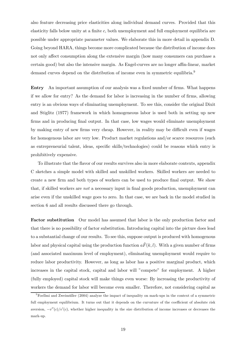also feature decreasing price elasticities along individual demand curves. Provided that this elasticity falls below unity at a finite  $c$ , both unemployment and full employment equilibria are possible under appropriate parameter values. We elaborate this in more detail in appendix D. Going beyond HARA, things become more complicated because the distribution of income does not only affect consumption along the extensive margin (how many consumers can purchase a certain good) but also the intensive margin. As Engel-curves are no longer affin-linear, market demand curves depend on the distribution of income even in symmetric equilibria.<sup>9</sup>

Entry An important assumption of our analysis was a fixed number of firms. What happens if we allow for entry? As the demand for labor is increasing in the number of firms, allowing entry is an obvious ways of eliminating unemployment. To see this, consider the original Dixit and Stiglitz (1977) framework in which homogeneous labor is used both in setting up new firms and in producing final output. In that case, low wages would eliminate unemployment by making entry of new firms very cheap. However, in reality may be difficult even if wages for homogenous labor are very low. Product market regulations and/or scarce resources (such as entrepreneurial talent, ideas, specific skills/technologies) could be reasons which entry is prohibitively expensive.

To illustrate that the flavor of our results survives also in more elaborate contexts, appendix C sketches a simple model with skilled and unskilled workers. Skilled workers are needed to create a new firm and both types of workers can be used to produce final output. We show that, if skilled workers are not a necessary input in final goods production, unemployment can arise even if the unskilled wage goes to zero. In that case, we are back in the model studied in section 6 and all results discussed there go through.

Factor substitution Our model has assumed that labor is the only production factor and that there is no possibility of factor substitution. Introducing capital into the picture does lead to a substantial change of our results. To see this, suppose output is produced with homogenous labor and physical capital using the production function  $a\tilde{F}(k,l)$ . With a given number of firms (and associated maximum level of employment), eliminating unemployment would require to reduce labor productivity. However, as long as labor has a positive marginal product, which increases in the capital stock, capital and labor will "compete" for employment. A higher (fully employed) capital stock will make things even worse: By increasing the productivity of workers the demand for labor will become even smaller. Therefore, not considering capital as

 $9$ Foellmi and Zweimüller (2004) analyze the impact of inequality on mark-ups in the context of a symmetric full employment equilibrium. It turns out that it depends on the curvature of the coefficient of absolute risk aversion,  $-v''(c)/v'(c)$ , whether higher inequality in the size distribution of income increases or decreases the mark-up.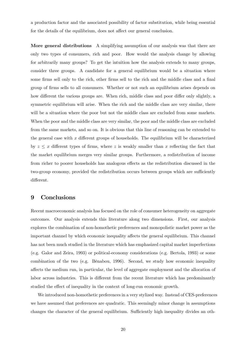a production factor and the associated possibility of factor substitution, while being essential for the details of the equilibrium, does not affect our general conclusion.

More general distributions A simplifying assumption of our analysis was that there are only two types of consumers, rich and poor. How would the analysis change by allowing for arbitrarily many groups? To get the intuition how the analysis extends to many groups, consider three groups. A candidate for a general equilibrium would be a situation where some firms sell only to the rich, other firms sell to the rich and the middle class and a final group of firms sells to all consumers. Whether or not such an equilibrium arises depends on how different the various groups are. When rich, middle class and poor differ only slightly, a symmetric equilibrium will arise. When the rich and the middle class are very similar, there will be a situation where the poor but not the middle class are excluded from some markets. When the poor and the middle class are very similar, the poor and the middle class are excluded from the same markets, and so on. It is obvious that this line of reasoning can be extended to the general case with  $x$  different groups of households. The equilibrium will be characterized by  $z \leq x$  different types of firms, where z is weakly smaller than x reflecting the fact that the market equilibrium merges very similar groups. Furthermore, a redistribution of income from richer to poorer households has analogous effects as the redistribution discussed in the two-group economy, provided the redistribution occurs between groups which are sufficiently different.

## 9 Conclusions

Recent macroeconomic analysis has focused on the role of consumer heterogeneity on aggregate outcomes. Our analysis extends this literature along two dimensions. First, our analysis explores the combination of non-homothetic preferences and monopolistic market power as the important channel by which economic inequality affects the general equilibrium. This channel has not been much studied in the literature which has emphasized capital market imperfections (e.g. Galor and Zeira, 1993) or political-economy considerations (e.g. Bertola, 1993) or some combination of the two (e.g. Bénabou, 1996). Second, we study how economic inequality affects the medium run, in particular, the level of aggregate employment and the allocation of labor across industries. This is different from the recent literature which has predominantly studied the effect of inequality in the context of long-run economic growth.

We introduced non-homothetic preferences in a very stylized way. Instead of CES-preferences we have assumed that preferences are quadratic. This seemingly minor change in assumptions changes the character of the general equilibrium. Sufficiently high inequality divides an oth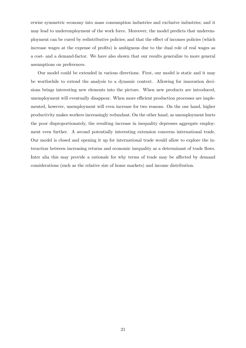erwise symmetric economy into mass consumption industries and exclusive industries; and it may lead to underemployment of the work force. Moreover, the model predicts that underemployment can be cured by redistributive policies; and that the effect of incomes policies (which increase wages at the expense of profits) is ambiguous due to the dual role of real wages as a cost- and a demand-factor. We have also shown that our results generalize to more general assumptions on preferences.

Our model could be extended in various directions. First, our model is static and it may be worthwhile to extend the analysis to a dynamic context. Allowing for innovation decisions brings interesting new elements into the picture. When new products are introduced, unemployment will eventually disappear. When more efficient production processes are implemented, however, unemployment will even increase for two reasons. On the one hand, higher productivity makes workers increasingly redundant. On the other hand, as unemployment hurts the poor disproportionately, the resulting increase in inequality depresses aggregate employment even further. A second potentially interesting extension concerns international trade. Our model is closed and opening it up for international trade would allow to explore the interaction between increasing returns and economic inequality as a determinant of trade flows. Inter alia this may provide a rationale for why terms of trade may be affected by demand considerations (such as the relative size of home markets) and income distribution.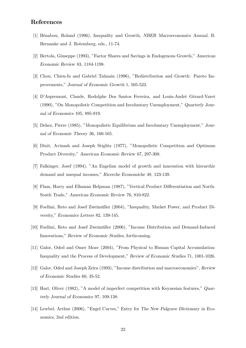## References

- [1] Bénabou, Roland (1996), Inequality and Growth, NBER Macroeconomics Annual, B. Bernanke and J. Rotemberg, eds., 11-74.
- [2] Bertola, Giuseppe (1993), "Factor Shares and Savings in Endogenous Growth," American Economic Review 83, 1184-1198.
- [3] Chou, Chien-fu and Gabriel Talmain (1996), "Redistribution and Growth: Pareto Improvements," Journal of Economic Growth 1, 505-523.
- [4] D'Aspremont, Claude, Rodolphe Dos Santos Ferreira, and Louis-André Gérard-Varet (1990), "On Monopolistic Competition and Involuntary Unemployment," Quarterly Journal of Economics 105, 895-919.
- [5] Dehez, Pierre (1985), "Monopolistic Equilibrium and Involuntary Unemployment," Journal of Economic Theory 36, 160-165.
- [6] Dixit, Avinash and Joseph Stiglitz (1977), "Monopolistic Competition and Optimum Product Diversity," American Economic Review 67, 297-308.
- [7] Falkinger, Josef (1994), "An Engelian model of growth and innovation with hierarchic demand and unequal incomes," Ricerche Economiche 48, 123-139.
- [8] Flam, Harry and Elhanan Helpman (1987), "Vertical Product Differentiation and North-South Trade," American Economic Review 76, 810-822.
- [9] Foellmi, Reto and Josef Zweimüller (2004), "Inequality, Market Power, and Product Diversity," Economics Letters 82, 139-145.
- [10] Foellmi, Reto and Josef Zweimüller (2006), "Income Distribution and Demand-Induced Innovations," Review of Economic Studies, forthcoming.
- [11] Galor, Oded and Omer Moav (2004), "From Physical to Human Capital Accumulation: Inequality and the Process of Development," Review of Economic Studies 71, 1001-1026.
- [12] Galor, Oded and Joseph Zeira (1993), "Income distribution and macroeconomics", Review of Economic Studies 60, 35-52.
- [13] Hart, Oliver (1982), "A model of imperfect competition with Keynesian features," Quarterly Journal of Economics 97, 109-138.
- [14] Lewbel, Arthur (2006), "Engel Curves," Entry for The New Palgrave Dictionary in Economics, 2nd edition.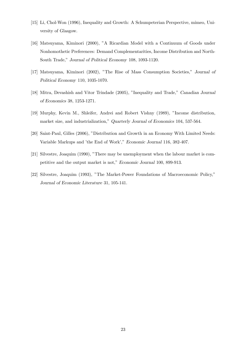- [15] Li, Chol-Won (1996), Inequality and Growth: A Schumpeterian Perspective, mimeo, University of Glasgow.
- [16] Matsuyama, Kiminori (2000), "A Ricardian Model with a Continuum of Goods under Nonhomothetic Preferences: Demand Complementarities, Income Distribution and North-South Trade," Journal of Political Economy 108, 1093-1120.
- [17] Matsuyama, Kiminori (2002), "The Rise of Mass Consumption Societies," Journal of Political Economy 110, 1035-1070.
- [18] Mitra, Devashish and Vitor Trindade (2005), "Inequality and Trade," Canadian Journal of Economics 38, 1253-1271.
- [19] Murphy, Kevin M., Shleifer, Andrei and Robert Vishny (1989), "Income distribution, market size, and industrialization," Quarterly Journal of Economics 104, 537-564.
- [20] Saint-Paul, Gilles (2006), "Distribution and Growth in an Economy With Limited Needs: Variable Markups and 'the End of Work'," Economic Journal 116, 382-407.
- [21] Silvestre, Joaquim (1990), "There may be unemployment when the labour market is competitive and the output market is not," Economic Journal 100, 899-913.
- [22] Silvestre, Joaquim (1993), "The Market-Power Foundations of Macroeconomic Policy," Journal of Economic Literature 31, 105-141.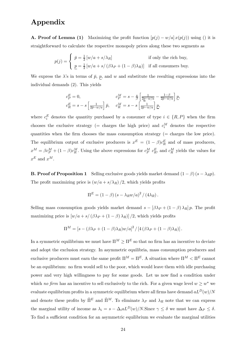## Appendix

**A. Proof of Lemma (1)** Maximizing the profit function  $[p(j) - w/a] x (p(j))$  using () it is straightforward to calculate the respective monopoly prices along these two segments as

$$
p(j) = \begin{cases} \bar{p} = \frac{1}{2} [w/a + s/\lambda_R] & \text{if only the rich buy,} \\ \underline{p} = \frac{1}{2} [w/a + s/(\beta \lambda_P + (1 - \beta)\lambda_R)] & \text{if all consumers buy.} \end{cases}
$$

We express the  $\lambda$ 's in terms of  $\bar{p}$ ,  $p$ , and w and substitute the resulting expressions into the individual demands (2). This yields

$$
c_P^E = 0,
$$
  
\n
$$
c_P^E = s - s \left[ \frac{1}{2\bar{p} - w/a} \right] \bar{p},
$$
  
\n
$$
c_R^E = s - s \left[ \frac{1}{2\bar{p} - w/a} \right] \bar{p},
$$
  
\n
$$
c_R^M = s - s \left[ \frac{1}{2\bar{p} - w/a} \right] \underline{p},
$$

where  $c_i^E$  denotes the quantity purchased by a consumer of type  $i \in \{R, P\}$  when the firm chooses the exclusive strategy (= charges the high price) and  $c_i^M$  denotes the respective quantities when the firm chooses the mass consumption strategy (= charges the low price). The equilibrium output of exclusive producers is  $x^E = (1 - \beta)c_R^E$  and of mass producers,  $x^M = \beta c_P^M + (1 - \beta)c_R^M$ . Using the above expressions for  $c_P^M$   $c_R^E$ , and  $c_R^M$  yields the values for  $x^E$  and  $x^M$ .

**B. Proof of Proposition 1** Selling exclusive goods yields market demand  $(1 - \beta)(s - \lambda_R p)$ . The profit maximizing price is  $(w/a + s/\lambda_R)/2$ , which yields profits

$$
\Pi^{E} = (1 - \beta) (s - \lambda_{R} w/a)^{2} / (4 \lambda_{R}).
$$

Selling mass consumption goods yields market demand  $s - [\beta \lambda_P + (1 - \beta) \lambda_R] p$ . The profit maximizing price is  $[w/a + s/(\beta \lambda_P + (1 - \beta) \lambda_R)]/2$ , which yields profits

$$
\Pi^M = \left[ s - (\beta \lambda_P + (1 - \beta) \lambda_R) w/a \right]^2 / \left[ 4 (\beta \lambda_P + (1 - \beta) \lambda_R) \right].
$$

In a symmetric equilibrium we must have  $\Pi^M \geq \Pi^E$  so that no firm has an incentive to deviate and adopt the exclusion strategy. In asymmetric equilibria, mass consumption producers and exclusive producers must earn the same profit  $\Pi^M = \Pi^E$ . A situation where  $\Pi^M < \Pi^E$  cannot be an equilibrium: no firm would sell to the poor, which would leave them with idle purchasing power and very high willingness to pay for some goods. Let us now find a condition under which no firm has an incentive to sell exclusively to the rich. For a given wage level  $w \geq w^*$  we evaluate equilibrium profits in a symmetric equilibrium where all firms have demand  $aL^{D}(w)/N$ and denote these profits by  $\tilde{\Pi}^E$  and  $\tilde{\Pi}^M$ . To eliminate  $\lambda_P$  and  $\lambda_R$  note that we can express the marginal utility of income as  $\lambda_i = s - \Delta_i a L^D(w)/N$ . Since  $\gamma \leq \delta$  we must have  $\Delta_P \leq \delta$ . To find a sufficient condition for an asymmetric equilibrium we evaluate the marginal utilities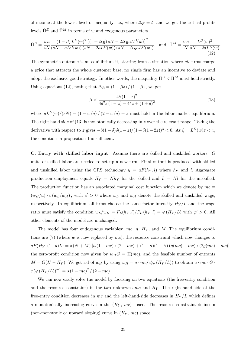of income at the lowest level of inequality, i.e., where  $\Delta_P = \delta$  and we get the critical profits levels  $\tilde{\Pi}^E$  and  $\tilde{\Pi}^M$  in terms of  $w$  and exogenous parameters

$$
\tilde{\Pi}^{E} = \frac{wa}{4N} \frac{(1-\beta) L^{D}(w)^{2} ((1+\Delta_{R}) sN - 2\Delta_{R} a L^{D}(w))^{2}}{(sN - aL^{D}(w))(sN - 2aL^{D}(w))(sN - \Delta_{R} a L^{D}(w))}, \text{ and } \tilde{\Pi}^{M} = \frac{wa}{N} \frac{L^{D}(w)^{2}}{sN - 2aL^{D}(w)}.
$$
\n(12)

The symmetric outcome is an equilibrium if, starting from a situation where all firms charge a price that attracts the whole customer base, no single firm has an incentive to deviate and adopt the exclusive good strategy. In other words, the inequality  $\tilde{\Pi}^E<\tilde{\Pi}^M$  must hold strictly. Using equations (12), noting that  $\Delta_R = (1 - \beta \delta) / (1 - \beta)$ , we get

$$
\beta < \frac{4\delta (1-z)^2}{4\delta^2 z (1-z) - 4\delta z + (1+\delta)^2}.\tag{13}
$$

where  $aL^{D}(w)/(sN) = (1 - w/a)/(2 - w/a) = z$  must hold in the labor market equilibrium. The right hand side of  $(13)$  is monotonically decreasing in z over the relevant range. Taking the derivative with respect to z gives  $-8(1-\delta)\delta(1-z)/(1+\delta(1-2z))^3 < 0$ . As  $\zeta = L^D(w)z < z$ , the condition in proposition 1 is sufficient.

C. Entry with skilled labor input Assume there are skilled and unskilled workers. G units of skilled labor are needed to set up a new firm. Final output is produced with skilled and unskilled labor using the CRS technology  $y = aF(h_Y, l)$  where  $h_Y$  and l. Aggregate production employment equals  $H_Y = Nh_Y$  for the skilled and  $L = Nl$  for the unskilled. The production function has an associated marginal cost function which we denote by  $mc \equiv$  $(w_H/a) \cdot c(w_L/w_H)$ , with  $c' > 0$  where  $w_L$  and  $w_H$  denote the skilled and unskilled wage, respectively. In equilibrium, all firms choose the same factor intensity  $H_Y/L$  and the wage ratio must satisfy the condition  $w_L/w_H = F_L(h_Y, l)/F_H(h_Y, l) = \varphi(H_Y / L)$  with  $\varphi' > 0$ . All other elements of the model are unchanged.

The model has four endogenous variables: mc, n,  $H_Y$ , and M. The equilibrium conditions are  $(7)$  (where w is now replaced by mc), the resource constraint which now changes to  $aF(H_Y, (1-u)L) = s(N+M) [n (1-mc)/(2-mc) + (1-n)(1-\beta) (g(mc) - mc) / (2g(mc) - mc)]$ the zero-profit condition now given by  $w_H G = \Pi(mc)$ , and the feasible number of entrants  $M = G(H - H_Y)$ . We get rid of  $w_H$  by using  $w_H = a \cdot mc/c(\varphi(H_Y/L))$  to obtain  $a \cdot mc \cdot G \cdot$  $c (\varphi (H_Y/L))^{-1} = s (1 - mc)^2 / (2 - mc).$ 

We can now easily solve the model by focusing on two equations (the free-entry condition and the resource constraint) in the two unknowns mc and  $H<sub>Y</sub>$ . The right-hand-side of the free-entry condition decreases in mc and the left-hand-side decreases in  $H_Y/L$  which defines a monotonically increasing curve in the  $(H_Y, mc)$  space. The resource constraint defines a (non-monotonic or upward sloping) curve in  $(H_Y, mc)$  space.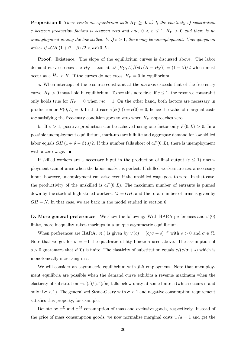**Proposition 6** There exists an equilibrium with  $H_Y \geq 0$ . a) If the elasticity of substitution  $\varepsilon$  between production factors is between zero and one,  $0 < \varepsilon \leq 1$ ,  $H_Y > 0$  and there is no unemployment among the low skilled. b) If  $\varepsilon > 1$ , there may be unemployment. Unemployment arises if  $sGH(1+\vartheta-\beta)/2 < aF(0,L)$ .

Proof. Existence. The slope of the equilibrium curves is discussed above. The labor demand curve crosses the  $H_Y$  - axis at  $aF(H_Y, L)/(sG(H - H_Y)) = (1 - \beta)/2$  which must occur at a  $\widehat{H}_Y < H$ . If the curves do not cross,  $H_Y = 0$  in equilibrium.

a. When intercept of the resource constraint at the mc-axis exceeds that of the free entry curve,  $H_Y > 0$  must hold in equilibrium. To see this note first, if  $\varepsilon \leq 1$ , the resource constraint only holds true for  $H_Y = 0$  when  $mc = 1$ . On the other hand, both factors are necessary in production or  $F(0, L) = 0$ . In that case  $c (\phi(0)) = c(0) = 0$ , hence the value of marginal costs mc satisfying the free-entry condition goes to zero when  $H_Y$  approaches zero.

b. If  $\varepsilon > 1$ , positive production can be achieved using one factor only  $F(0, L) > 0$ . In a possible unemployment equilibrium, mark-ups are infinite and aggregate demand for low skilled labor equals  $GH (1 + \vartheta - \beta) s/2$ . If this number falls short of  $aF(0, L)$ , there is unemployment with a zero wage.  $\blacksquare$ 

If skilled workers are a necessary input in the production of final output ( $\varepsilon \leq 1$ ) unemployment cannot arise when the labor market is perfect. If skilled workers are not a necessary input, however, unemployment can arise even if the unskilled wage goes to zero. In that case, the productivity of the unskilled is  $aF(0, L)$ . The maximum number of entrants is pinned down by the stock of high skilled workers,  $M = GH$ , and the total number of firms is given by  $GH + N$ . In that case, we are back in the model studied in section 6.

**D.** More general preferences We show the following: With HARA preferences and  $v'(0)$ finite, more inequality raises markups in a unique asymmetric equilibrium.

When preferences are HARA,  $v(.)$  is given by  $v'(c) = (c/\sigma + s)^{-\sigma}$  with  $s > 0$  and  $\sigma \in \mathbb{R}$ . Note that we get for  $\sigma = -1$  the quadratic utility function used above. The assumption of  $s > 0$  guarantees that  $v'(0)$  is finite. The elasticity of substitution equals  $c/(c/\sigma + s)$  which is monotonically increasing in c.

We will consider an asymmetric equilibrium with *full* employment. Note that unemployment equilibria are possible when the demand curve exhibits a revenue maximum when the elasticity of substitution  $-v'(c)/(v''(c)c)$  falls below unity at some finite c (which occurs if and only if  $\sigma < 1$ ). The generalized Stone-Geary with  $\sigma < 1$  and negative consumption requirement satisfies this property, for example.

Denote by  $x^E$  and  $x^M$  consumption of mass and exclusive goods, respectively. Instead of the price of mass consumption goods, we now normalize marginal costs  $w/a = 1$  and get the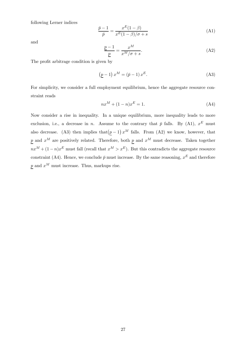following Lerner indices

$$
\frac{\bar{p}-1}{\bar{p}} = \frac{x^E(1-\beta)}{x^E(1-\beta)/\sigma + s} \tag{A1}
$$

and

$$
\frac{\underline{p}-1}{\underline{p}} = \frac{x^M}{x^M/\sigma + s}.
$$
\n(A2)

The profit arbitrage condition is given by

$$
\left(\underline{p} - 1\right)x^M = \left(\bar{p} - 1\right)x^E. \tag{A3}
$$

For simplicity, we consider a full employment equilibrium, hence the aggregate resource constraint reads

$$
nx^M + (1 - n)x^E = 1.
$$
 (A4)

Now consider a rise in inequality. In a unique equilibrium, more inequality leads to more exclusion, i.e., a decrease in n. Assume to the contrary that  $\bar{p}$  falls. By (A1),  $x^E$  must also decrease. (A3) then implies that  $(p-1) x^M$  falls. From (A2) we know, however, that p and  $x^M$  are positively related. Therefore, both p and  $x^M$  must decrease. Taken together  $nx^M + (1-n)x^E$  must fall (recall that  $x^M > x^E$ ). But this contradicts the aggregate resource constraint (A4). Hence, we conclude  $\bar{p}$  must increase. By the same reasoning,  $x^E$  and therefore  $p$  and  $x^M$  must increase. Thus, markups rise.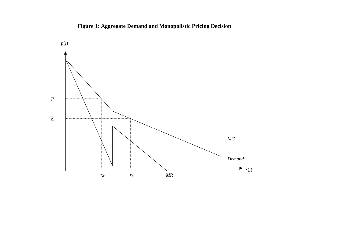

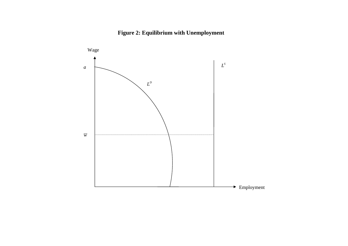# **Figure 2: Equilibrium with Unemployment**

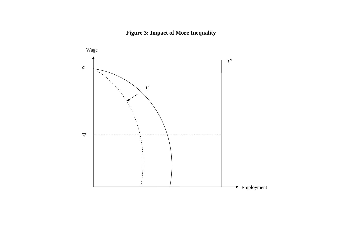# **Figure 3: Impact of More Inequality**

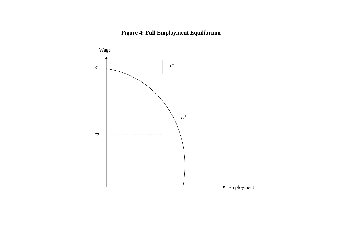# **Figure 4: Full Employment Equilibrium**